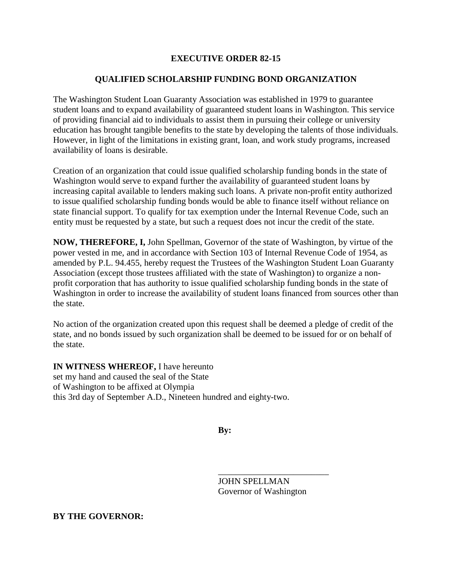## **EXECUTIVE ORDER 82-15**

## **QUALIFIED SCHOLARSHIP FUNDING BOND ORGANIZATION**

The Washington Student Loan Guaranty Association was established in 1979 to guarantee student loans and to expand availability of guaranteed student loans in Washington. This service of providing financial aid to individuals to assist them in pursuing their college or university education has brought tangible benefits to the state by developing the talents of those individuals. However, in light of the limitations in existing grant, loan, and work study programs, increased availability of loans is desirable.

Creation of an organization that could issue qualified scholarship funding bonds in the state of Washington would serve to expand further the availability of guaranteed student loans by increasing capital available to lenders making such loans. A private non-profit entity authorized to issue qualified scholarship funding bonds would be able to finance itself without reliance on state financial support. To qualify for tax exemption under the Internal Revenue Code, such an entity must be requested by a state, but such a request does not incur the credit of the state.

**NOW, THEREFORE, I,** John Spellman, Governor of the state of Washington, by virtue of the power vested in me, and in accordance with Section 103 of Internal Revenue Code of 1954, as amended by P.L. 94.455, hereby request the Trustees of the Washington Student Loan Guaranty Association (except those trustees affiliated with the state of Washington) to organize a nonprofit corporation that has authority to issue qualified scholarship funding bonds in the state of Washington in order to increase the availability of student loans financed from sources other than the state.

No action of the organization created upon this request shall be deemed a pledge of credit of the state, and no bonds issued by such organization shall be deemed to be issued for or on behalf of the state.

**IN WITNESS WHEREOF,** I have hereunto set my hand and caused the seal of the State of Washington to be affixed at Olympia this 3rd day of September A.D., Nineteen hundred and eighty-two.

**By:**

JOHN SPELLMAN Governor of Washington

\_\_\_\_\_\_\_\_\_\_\_\_\_\_\_\_\_\_\_\_\_\_\_\_\_

**BY THE GOVERNOR:**